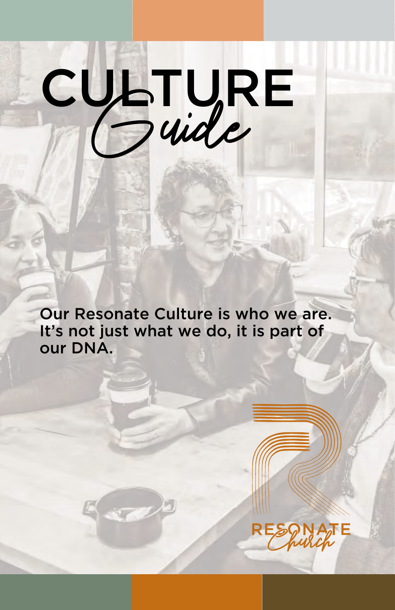# CULTURE

Our Resonate Culture is who we are. It's not just what we do, it is part of our DNA.

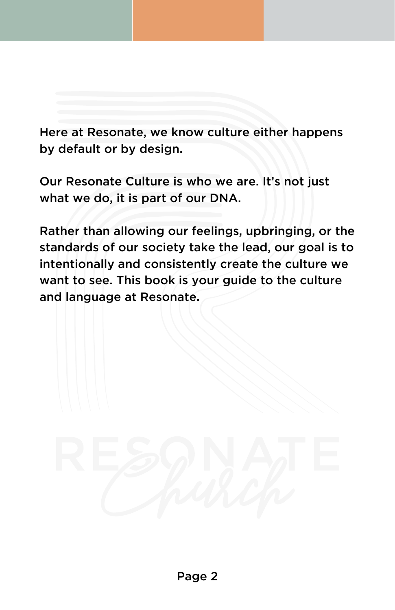Here at Resonate, we know culture either happens by default or by design.

Our Resonate Culture is who we are. It's not just what we do, it is part of our DNA.

Rather than allowing our feelings, upbringing, or the standards of our society take the lead, our goal is to intentionally and consistently create the culture we want to see. This book is your guide to the culture and language at Resonate.

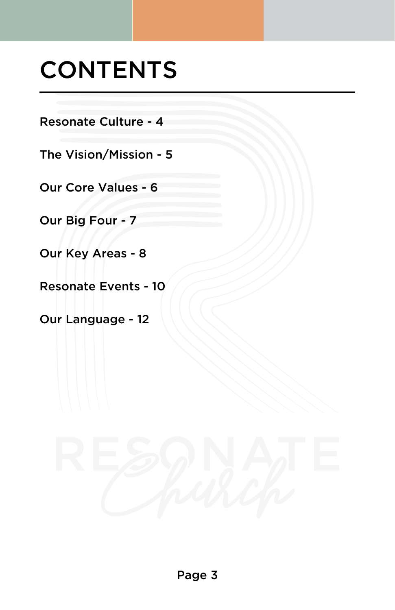### **CONTENTS**

Resonate Culture - 4

The Vision/Mission - 5

Our Core Values - 6

Our Big Four - 7

Our Key Areas - 8

Resonate Events - 10

Our Language - 12

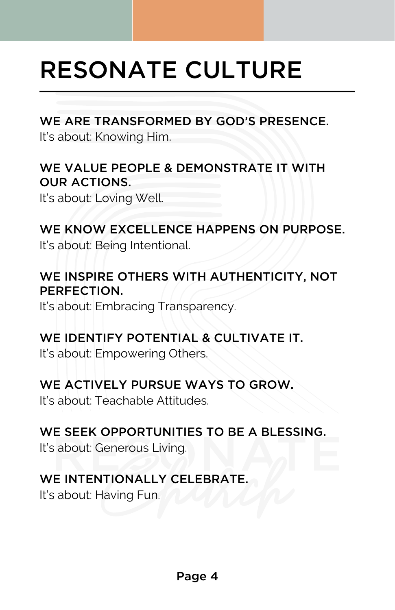### RESONATE CULTURE

#### WE ARE TRANSFORMED BY GOD'S PRESENCE.

It's about: Knowing Him.

#### WE VALUE PEOPLE & DEMONSTRATE IT WITH OUR ACTIONS.

It's about: Loving Well.

### WE KNOW EXCELLENCE HAPPENS ON PURPOSE.

It's about: Being Intentional.

### WE INSPIRE OTHERS WITH AUTHENTICITY, NOT PERFECTION.

It's about: Embracing Transparency.

#### WE IDENTIFY POTENTIAL & CULTIVATE IT.

It's about: Empowering Others.

### WE ACTIVELY PURSUE WAYS TO GROW.

It's about: Teachable Attitudes.

### WE SEEK OPPORTUNITIES TO BE A BLESSING.

It's about: Generous Living.

### WE INTENTIONALLY CELEBRATE.

It's about: Having Fun.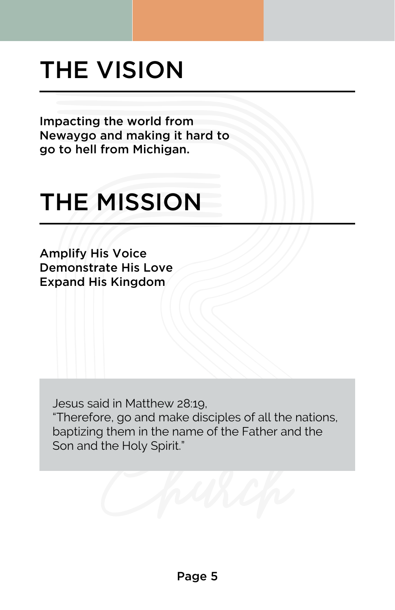### THE VISION

Impacting the world from Newaygo and making it hard to go to hell from Michigan.

### THE MISSION

Amplify His Voice Demonstrate His Love Expand His Kingdom

Jesus said in Matthew 28:19, "Therefore, go and make disciples of all the nations, baptizing them in the name of the Father and the Son and the Holy Spirit."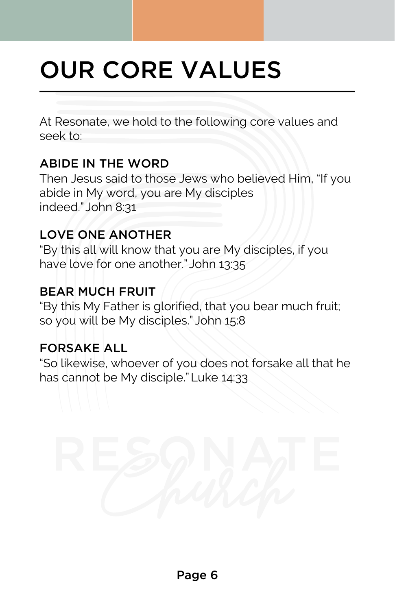# OUR CORE VALUES

At Resonate, we hold to the following core values and seek to:

### ABIDE IN THE WORD

Then Jesus said to those Jews who believed Him, "If you abide in My word, you are My disciples indeed." John 8:31

### LOVE ONE ANOTHER

"By this all will know that you are My disciples, if you have love for one another." John 13:35

### BEAR MUCH FRUIT

"By this My Father is glorified, that you bear much fruit; so you will be My disciples." John 15:8

### FORSAKE ALL

"So likewise, whoever of you does not forsake all that he has cannot be My disciple." Luke 14:33

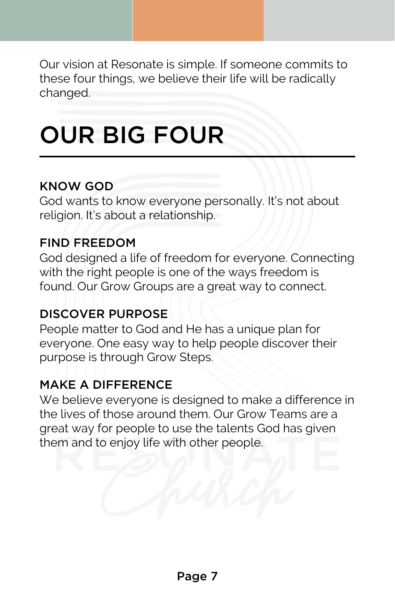Our vision at Resonate is simple. If someone commits to these four things, we believe their life will be radically changed.

### OUR BIG FOUR

#### KNOW GOD

God wants to know everyone personally. It's not about religion. It's about a relationship.

#### FIND FREEDOM

God designed a life of freedom for everyone. Connecting with the right people is one of the ways freedom is found. Our Grow Groups are a great way to connect.

### DISCOVER PURPOSE

People matter to God and He has a unique plan for everyone. One easy way to help people discover their purpose is through Grow Steps.

### MAKE A DIFFERENCE

We believe everyone is designed to make a difference in the lives of those around them. Our Grow Teams are a great way for people to use the talents God has given them and to enjoy life with other people.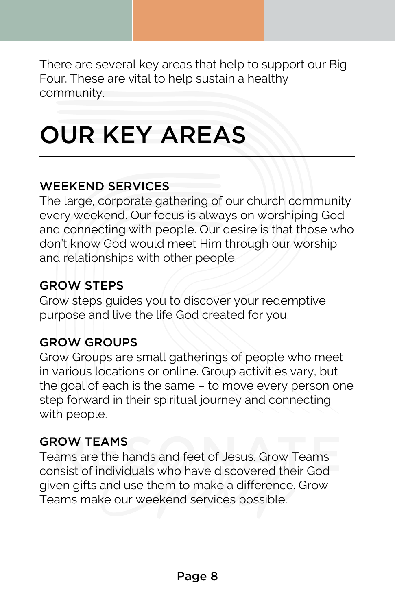There are several key areas that help to support our Big Four. These are vital to help sustain a healthy community.

### OUR KEY AREAS

### WEEKEND SERVICES

The large, corporate gathering of our church community every weekend. Our focus is always on worshiping God and connecting with people. Our desire is that those who don't know God would meet Him through our worship and relationships with other people.

### GROW STEPS

Grow steps guides you to discover your redemptive purpose and live the life God created for you.

### GROW GROUPS

Grow Groups are small gatherings of people who meet in various locations or online. Group activities vary, but the goal of each is the same – to move every person one step forward in their spiritual journey and connecting with people.

### GROW TEAMS

Teams are the hands and feet of Jesus. Grow Teams consist of individuals who have discovered their God given gifts and use them to make a difference. Grow Teams make our weekend services possible.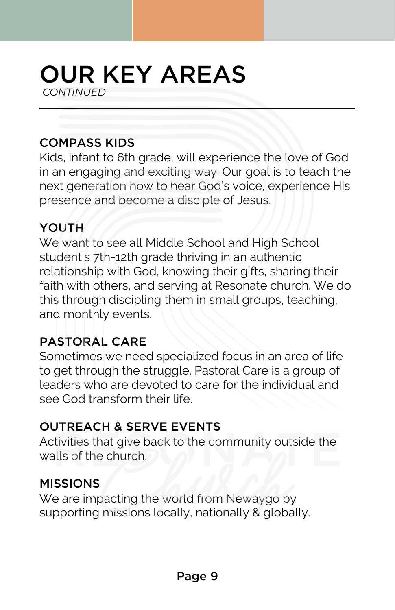### OUR KEY AREAS *CONTINUED*

### COMPASS KIDS

Kids, infant to 6th grade, will experience the love of God in an engaging and exciting way. Our goal is to teach the next generation how to hear God's voice, experience His next generation how to hear God's voice,  $\epsilon$ <br>presence and become a disciple of Jesus.

#### YOUTH

We want to see all Middle School and High School student's 7th-12th grade thriving in an authentic relationship with God, knowing their gifts, sharing their faith with others, and serving at Resonate church. We do this through discipling them in small groups, teaching, and monthly events.

### PASTORAL CARE

Sometimes we need specialized focus in an area of life to get through the struggle. Pastoral Care is a group of leaders who are devoted to care for the individual and see God transform their life.

### OUTREACH & SERVE EVENTS

Activities that give back to the community outside the<br>walls of the church. walls of the church.

#### MISSIONS

We are impacting the world from Newaygo by supporting missions locally, nationally & globally.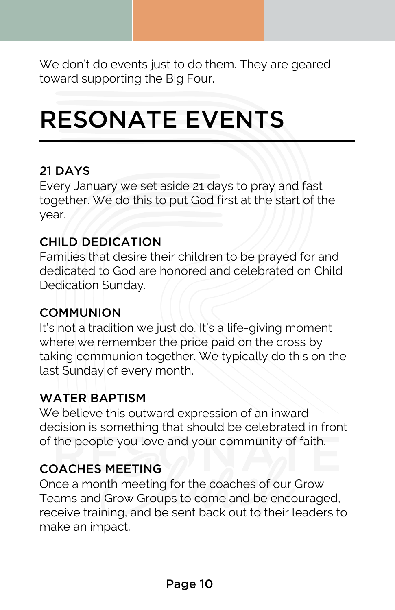We don't do events just to do them. They are geared toward supporting the Big Four.

### RESONATE EVENTS

#### 21 DAYS

Every January we set aside 21 days to pray and fast together. We do this to put God first at the start of the year.

#### CHILD DEDICATION

Families that desire their children to be prayed for and dedicated to God are honored and celebrated on Child Dedication Sunday.

### **COMMUNION**

It's not a tradition we just do. It's a life-giving moment where we remember the price paid on the cross by taking communion together. We typically do this on the last Sunday of every month.

### WATER BAPTISM

We believe this outward expression of an inward decision is something that should be celebrated in front of the people you love and your community of faith.

### COACHES MEETING

Once a month meeting for the coaches of our Grow Teams and Grow Groups to come and be encouraged, receive training, and be sent back out to their leaders to make an impact.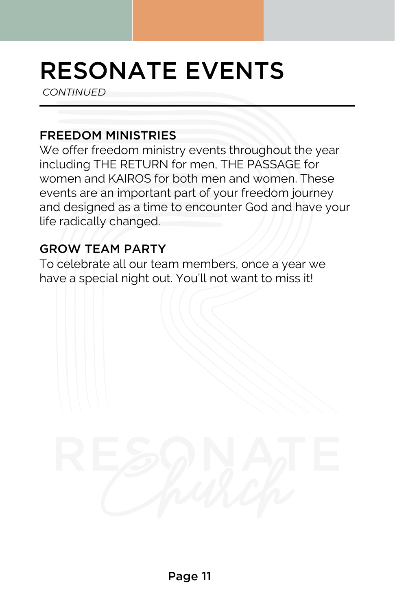### RESONATE EVENTS

*CONTINUED*

#### FREEDOM MINISTRIES

We offer freedom ministry events throughout the year including THE RETURN for men, THE PASSAGE for women and KAIROS for both men and women. These events are an important part of your freedom journey and designed as a time to encounter God and have your life radically changed.

### GROW TEAM PARTY

To celebrate all our team members, once a year we have a special night out. You'll not want to miss it!

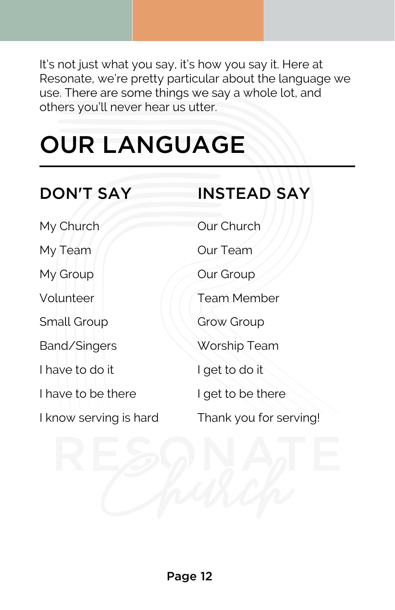It's not just what you say, it's how you say it. Here at Resonate, we're pretty particular about the language we use. There are some things we say a whole lot, and others you'll never hear us utter.

# OUR LANGUAGE

| <b>DON'T SAY</b>       | <b>INSTEAD SAY</b>     |
|------------------------|------------------------|
| My Church              | Our Church             |
| My Team                | <b>Our Team</b>        |
| My Group               | Our Group              |
| Volunteer              | <b>Team Member</b>     |
| Small Group            | Grow Group             |
| Band/Singers           | Worship Team           |
| I have to do it        | I get to do it         |
| I have to be there     | I get to be there      |
| I know serving is hard | Thank you for serving! |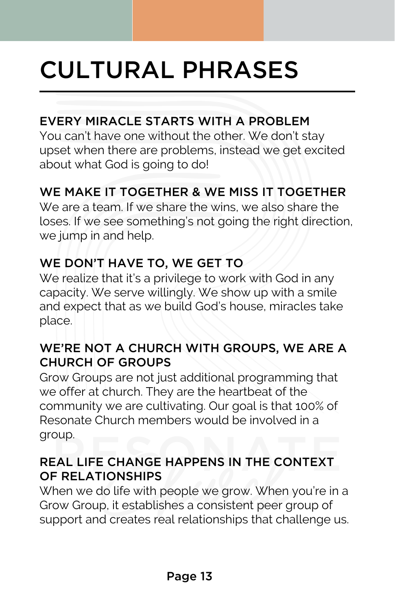### CULTURAL PHRASES

### EVERY MIRACLE STARTS WITH A PROBLEM

You can't have one without the other. We don't stay upset when there are problems, instead we get excited about what God is going to do!

### WE MAKE IT TOGETHER & WE MISS IT TOGETHER

We are a team. If we share the wins, we also share the loses. If we see something's not going the right direction, we jump in and help.

### WE DON'T HAVE TO, WE GET TO

We realize that it's a privilege to work with God in any capacity. We serve willingly. We show up with a smile and expect that as we build God's house, miracles take place.

### WE'RE NOT A CHURCH WITH GROUPS, WE ARE A CHURCH OF GROUPS

Grow Groups are not just additional programming that we offer at church. They are the heartbeat of the community we are cultivating. Our goal is that 100% of Resonate Church members would be involved in a group.

### REAL LIFE CHANGE HAPPENS IN THE CONTEXT OF RELATIONSHIPS

When we do life with people we grow. When you're in a Grow Group, it establishes a consistent peer group of support and creates real relationships that challenge us.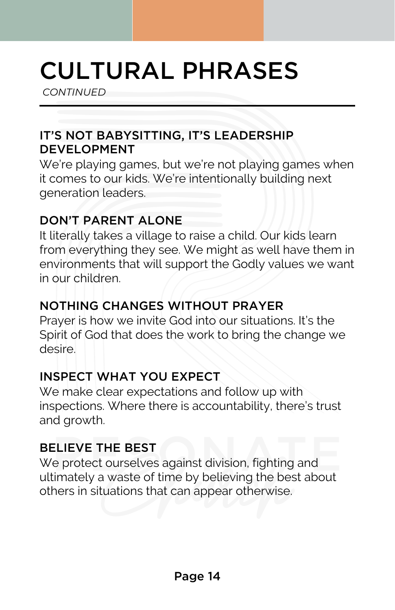### CULTURAL PHRASES

*CONTINUED*

### IT'S NOT BABYSITTING, IT'S LEADERSHIP DEVELOPMENT

We're playing games, but we're not playing games when it comes to our kids. We're intentionally building next generation leaders.

### DON'T PARENT ALONE

It literally takes a village to raise a child. Our kids learn from everything they see. We might as well have them in environments that will support the Godly values we want in our children.

### NOTHING CHANGES WITHOUT PRAYER

Prayer is how we invite God into our situations. It's the Spirit of God that does the work to bring the change we desire.

### INSPECT WHAT YOU EXPECT

We make clear expectations and follow up with inspections. Where there is accountability, there's trust and growth.

### BELIEVE THE BEST

We protect ourselves against division, fighting and ultimately a waste of time by believing the best about others in situations that can appear otherwise.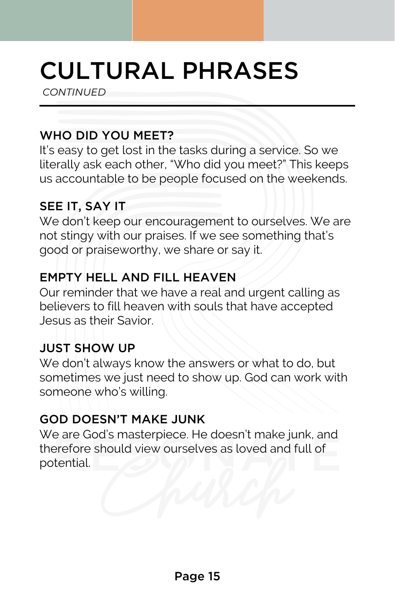### CULTURAL PHRASES

*CONTINUED*

### WHO DID YOU MEET?

It's easy to get lost in the tasks during a service. So we literally ask each other, "Who did you meet?" This keeps us accountable to be people focused on the weekends.

### SEE IT, SAY IT

We don't keep our encouragement to ourselves. We are not stingy with our praises. If we see something that's good or praiseworthy, we share or say it.

### EMPTY HELL AND FILL HEAVEN

Our reminder that we have a real and urgent calling as believers to fill heaven with souls that have accepted Jesus as their Savior.

### JUST SHOW UP

We don't always know the answers or what to do, but sometimes we just need to show up. God can work with someone who's willing.

### GOD DOESN'T MAKE JUNK

We are God's masterpiece. He doesn't make junk, and therefore should view ourselves as loved and full of potential.